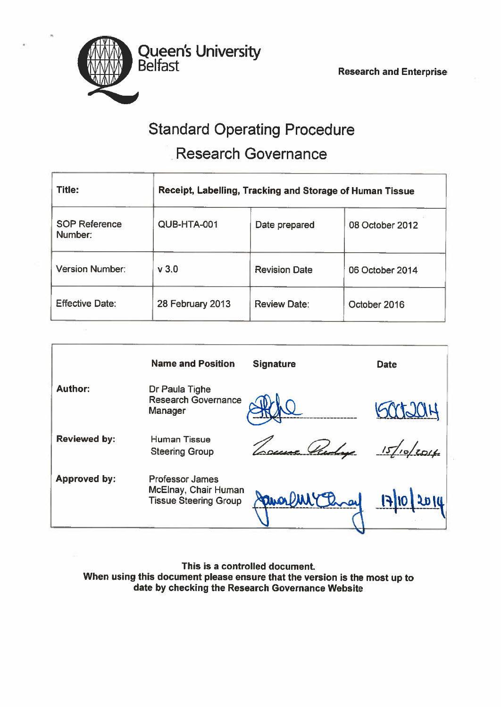

# Standard Operating Procedure Research Governance

| <b>Title:</b>                   | Receipt, Labelling, Tracking and Storage of Human Tissue |                      |                 |
|---------------------------------|----------------------------------------------------------|----------------------|-----------------|
| <b>SOP Reference</b><br>Number: | QUB-HTA-001                                              | Date prepared        | 08 October 2012 |
| <b>Version Number:</b>          | $v$ 3.0                                                  | <b>Revision Date</b> | 06 October 2014 |
| <b>Effective Date:</b>          | 28 February 2013                                         | <b>Review Date:</b>  | October 2016    |

|                     | <b>Name and Position</b>                                                       | <b>Signature</b> | <b>Date</b> |
|---------------------|--------------------------------------------------------------------------------|------------------|-------------|
| <b>Author:</b>      | Dr Paula Tighe<br><b>Research Governance</b><br>Manager                        |                  |             |
| <b>Reviewed by:</b> | Human Tissue<br><b>Steering Group</b>                                          |                  | 15/10/2014  |
| <b>Approved by:</b> | <b>Professor James</b><br>McElnay, Chair Human<br><b>Tissue Steering Group</b> |                  |             |

This is <sup>a</sup> controlled document. When using this document please ensure that the version is the most up to date by checking the Research Governance Website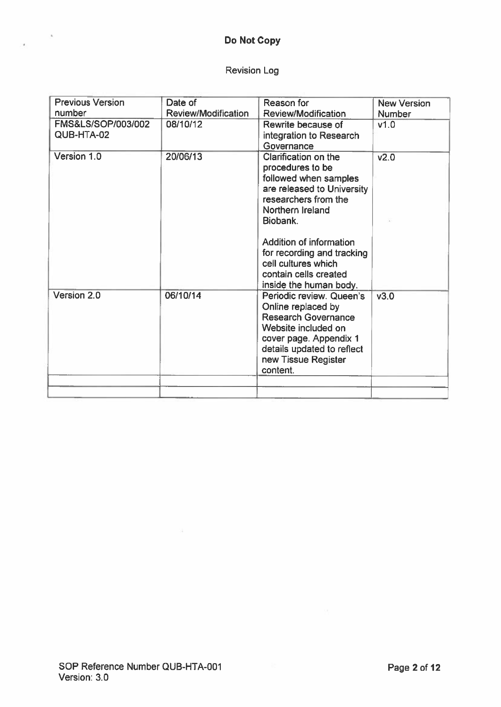# Do Not Copy

# Revision Log

| <b>Previous Version</b>          | Date of                    | Reason for                                                                                                                                                                                                                                                                                 | <b>New Version</b> |
|----------------------------------|----------------------------|--------------------------------------------------------------------------------------------------------------------------------------------------------------------------------------------------------------------------------------------------------------------------------------------|--------------------|
| number                           | <b>Review/Modification</b> | <b>Review/Modification</b>                                                                                                                                                                                                                                                                 | <b>Number</b>      |
| FMS&LS/SOP/003/002<br>QUB-HTA-02 | 08/10/12                   | Rewrite because of<br>integration to Research<br>Governance                                                                                                                                                                                                                                | v1.0               |
| Version 1.0                      | 20/06/13                   | Clarification on the<br>procedures to be<br>followed when samples<br>are released to University<br>researchers from the<br>Northern Ireland<br>Biobank.<br>Addition of information<br>for recording and tracking<br>cell cultures which<br>contain cells created<br>inside the human body. | v2.0               |
| Version 2.0                      | 06/10/14                   | Periodic review. Queen's<br>Online replaced by<br><b>Research Governance</b><br>Website included on<br>cover page. Appendix 1<br>details updated to reflect<br>new Tissue Register<br>content.                                                                                             | V3.0               |
|                                  |                            |                                                                                                                                                                                                                                                                                            |                    |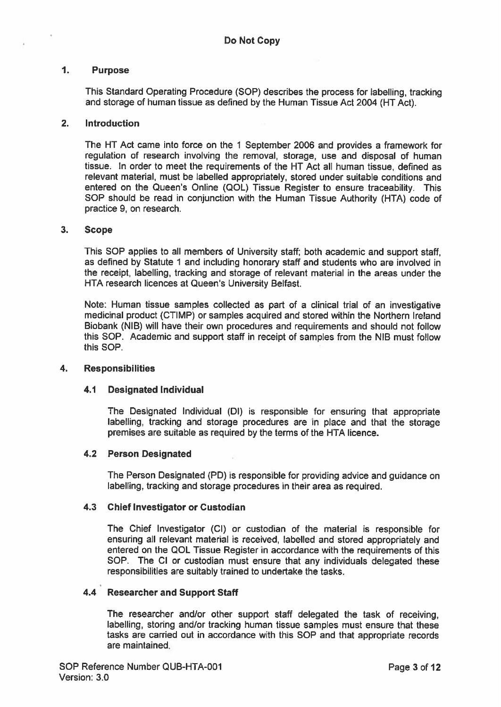#### $\overline{1}$ . Purpose

This Standard Operating Procedure (SOP) describes the process for labelling, tracking and storage of human tissue as defined by the Human Tissue Act 2004 (HT Act).

#### 2. Introduction

The HT Act came into force on the 1 September 2006 and provides <sup>a</sup> framework for regulation of research involving the removal, storage, use and disposal of human tissue. In order to meet the requirements of the HT Act all human tissue, defined as relevant material, must be labelled appropriately, stored under suitable conditions and entered on the Queen's Online (QOL) Tissue Register to ensure traceability. This SOP should be read in conjunction with the Human Tissue Authority (HTA) code of practice 9, on research.

#### 3. Scope

This SOP applies to all members of University staff; both academic and suppor<sup>t</sup> staff, as defined by Statute 1 and including honorary staff and students who are involved in the receipt, labelling, tracking and storage of relevant material in the areas under the HTA research licences at Queen's University Belfast.

Note: Human tissue samples collected as par<sup>t</sup> of <sup>a</sup> clinical trial of an investigative medicinal product (CTIMP) or samples acquired and stored within the Northern Ireland Biobank (NIB) will have their own procedures and requirements and should not follow this SOP. Academic and suppor<sup>t</sup> staff in receipt of samples from the NIB must follow this SOP.

#### 4. Responsibilities

#### 4.1 Designated Individual

The Designated Individual (Dl) is responsible for ensuring that appropriate labelling, tracking and storage procedures are in place and that the storage premises are suitable as required by the terms of the HTA licence,

#### 4.2 Person Designated

The Person Designated (PD) is responsible for providing advice and guidance on labelling, tracking and storage procedures in their area as required.

#### 4.3 Chief Investigator or Custodian

The Chief Investigator (Cl) or custodian of the material is responsible for ensuring all relevant material is received, labelled and stored appropriately and entered on the QOL Tissue Register in accordance with the requirements of this SOP. The Cl or custodian must ensure that any individuals delegated these responsibilities are suitably trained to undertake the tasks.

#### 4.4 Researcher and Support Staff

The researcher and/or other suppor<sup>t</sup> staff delegated the task of receiving, labelling, storing and/or tracking human tissue samples must ensure that these tasks are carried out in accordance with this SOP and that appropriate records are maintained.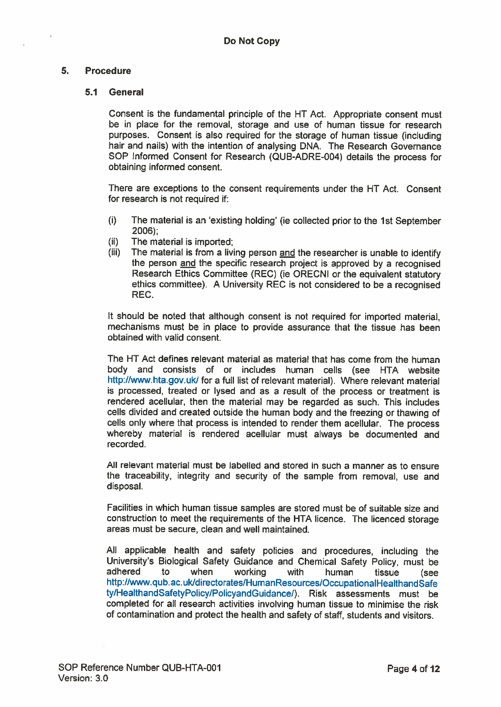### 5. Procedure

#### 5.1 General

Consent is the fundamental principle of the HT Act. Appropriate consent must be in place for the removal, storage and use of human tissue for research purposes. Consent is also required for the storage of human tissue (including hair and nails) with the intention of analysing DNA. The Research Governance SOP Informed Consent for Research (QUB-ADRE-004) details the process for obtaining informed consent.

There are exceptions to the consent requirements under the NT Act. Consent for research is not required if:

- (i) The material is an 'existing holding' (ie collected prior to the 1st September 2006);
- (ii) The material is imported;
- (iii) The material is from a living person and the researcher is unable to identify the person and the specific research project is approved by <sup>a</sup> recognised Research Ethics Committee (REC) (ie ORECNI or the equivalent statutory ethics committee). <sup>A</sup> University REC is not considered to be <sup>a</sup> recognised REC.

It should be noted that although consent is not required for imported material, mechanisms must be in <sup>p</sup>lace to provide assurance that the tissue has been obtained with valid consent.

The NT Act defines relevant material as material that has come from the human body and consists of or includes human cells (see HTA website http://www.hta.gov.uk/ for a full list of relevant material). Where relevant material is processed, treated or lysed and as <sup>a</sup> result of the process or treatment is rendered acellular, then the material may be regarded as such. This includes cells divided and created outside the human body and the freezing or thawing of cells only where that process is intended to render them acellular. The process whereby material is rendered acellular must always be documented and recorded.

All relevant material must be labelled and stored in such <sup>a</sup> manner as to ensure the traceability, integrity and security of the sample from removal, use and disposal.

Facilities in which human tissue samples are stored must be of suitable size and construction to meet the requirements of the HTA licence. The licenced storage areas must be secure, clean and well maintained.

All applicable health and safety policies and procedures, including the University's Biological Safety Guidance and Chemical Safety Policy, must be adhered to when working with human tissue (see http://www.qub.ac.uk/directorates/HumanResources/OccupationalHealthandSafe ty/HealthandSafetyPolicy/PolicyandGuidance/). Risk assessments must be completed for all research activities involving human tissue to minimise the risk of contamination and protect the health and safety of staff, students and visitors.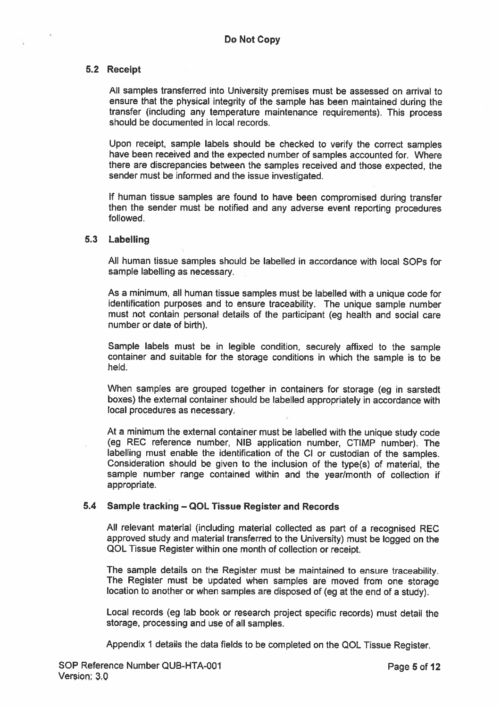#### 5.2 Receipt

All samples transferred into University premises must be assessed on arrival to ensure that the <sup>p</sup>hysical integrity of the sample has been maintained during the transfer (including any temperature maintenance requirements). This process should be documented in local records.

Upon receipt, sample labels should be checked to verify the correct samples have been received and the expected number of samples accounted for. Where there are discrepancies between the samples received and those expected, the sender must be informed and the issue investigated.

If human tissue samples are found to have been compromised during transfer then the sender must be notified and any adverse event reporting procedures followed.

#### 5.3 Labelling

All human tissue samples should be labelled in accordance with local SOPs for sample labelling as necessary.

As <sup>a</sup> minimum, all human tissue samples must be labelled with <sup>a</sup> unique code for identification purposes and to ensure traceability. The unique sample number must not contain personal details of the participant (eg health and social care number or date of birth).

Sample labels must be in legible condition, securely affixed to the sample container and suitable for the storage conditions in which the sample is to be held.

When samples are groupe<sup>d</sup> together in containers for storage (eg in sarstedt boxes) the external container should be labelled appropriately in accordance with local procedures as necessary.

At <sup>a</sup> minimum the external container must be labelled with the unique study code (eg REC reference number, NIB application number, CTIMP number). The labelling must enable the identification of the Cl or custodian of the samples. Consideration should be <sup>g</sup>iven to the inclusion of the type(s) of material, the sample number range contained within and the year/month of collection if appropriate.

#### 5.4 Sample tracking — QOL Tissue Register and Records

All relevant material (including material collected as par<sup>t</sup> of <sup>a</sup> recognised REC approve<sup>d</sup> study and material transferred to the University) must be logged on the QOL Tissue Register within one month of collection or receipt.

The sample details on the Register must be maintained to ensure traceability. The Register must be updated when samples are moved from one storage location to another or when samples are disposed of (eg at the end of <sup>a</sup> study).

Local records (eg lab book or research project specific records) must detail the storage, processing and use of all samples.

Appendix <sup>1</sup> details the data fields to be completed on the QOL Tissue Register.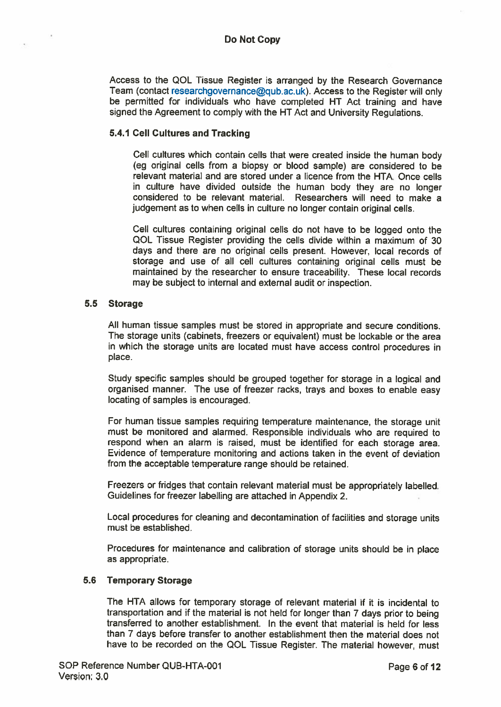Access to the QOL Tissue Register is arranged by the Research Governance Team (contact researchgovernance@qub.ac.uk). Access to the Register will only be permitted for individuals who have completed HT Act training and have signed the Agreement to comply with the HT Act and University Regulations.

#### 5.4.1 Cell Cultures and Tracking

Cell cultures which contain cells that were created inside the human body (eg original cells from <sup>a</sup> biopsy or blood sample) are considered to be relevant material and are stored under <sup>a</sup> licence from the HTA. Once cells in culture have divided outside the human body they are no longer considered to be relevant material. Researchers will need to make <sup>a</sup> judgement as to when cells in culture no longer contain original cells.

Cell cultures containing original cells do not have to be logged onto the QOL Tissue Register providing the cells divide within <sup>a</sup> maximum of 30 days and there are no original cells present. However, local records of storage and use of all cell cultures containing original cells must be maintained by the researcher to ensure traceability. These local records may be subject to internal and external audit or inspection.

#### 5.5 Storage

All human tissue samples must be stored in appropriate and secure conditions. The storage units (cabinets, freezers or equivalent) must be lockable or the area in which the storage units are located must have access control procedures in place.

Study specific samples should be grouped together for storage in <sup>a</sup> logical and organised manner. The use of freezer racks, trays and boxes to enable easy locating of samples is encouraged.

For human tissue samples requiring temperature maintenance, the storage unit must be monitored and alarmed. Responsible individuals who are required to respond when an alarm is raised, must be identified for each storage area. Evidence of temperature monitoring and actions taken in the event of deviation from the acceptable temperature range should be retained.

Freezers or fridges that contain relevant material must be appropriately labelled. Guidelines for freezer labelling are attached in Appendix 2.

Local procedures for cleaning and decontamination of facilities and storage units must be established.

Procedures for maintenance and calibration of storage units should be in <sup>p</sup>lace as appropriate.

#### 5.6 Temporary Storage

The HTA allows for temporary storage of relevant material if it is incidental to transportation and if the material is not held for longer than <sup>7</sup> days prior to being transferred to another establishment. In the event that material is held for less than 7 days before transfer to another establishment then the material does not have to be recorded on the QOL Tissue Register. The material however, must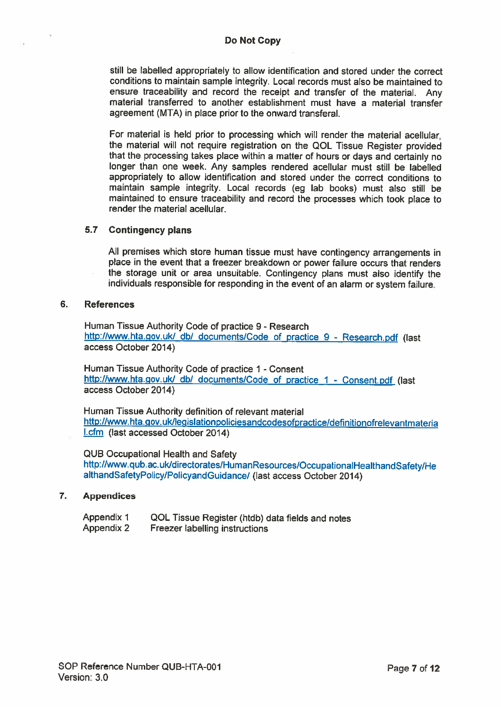still be labelled appropriately to allow identification and stored under the correct conditions to maintain sample integrity. Local records must also be maintained to ensure traceability and record the receipt and transfer of the material. Any material transferred to another establishment must have <sup>a</sup> material transfer agreement (MTA) in place prior to the onward transferal.

For material is held prior to processing which will render the material acellular, the material will not require registration on the QOL Tissue Register provided that the processing takes <sup>p</sup>lace within <sup>a</sup> matter of hours or days and certainly no longer than one week. Any samples rendered acellular must still be labelled appropriately to allow identification and stored under the correct conditions to maintain sample integrity. Local records (eg lab books) must also still be maintained to ensure traceability and record the processes which took <sup>p</sup>lace to render the material acellular.

#### 5.7 Contingency plans

All premises which store human tissue must have contingency arrangements in <sup>p</sup>lace in the event that <sup>a</sup> freezer breakdown or power failure occurs that renders the storage unit or area unsuitable. Contingency <sup>p</sup>lans must also identify the individuals responsible for responding in the event of an alarm or system failure.

#### 6. References

Human Tissue Authority Code of practice 9 - Research http://www.hta.gov.uk/ db/ documents/Code of practice 9 - Research.pdf (last access October 2014)

Human Tissue Authority Code of practice 1 - Consent http://www.hta.gov.uk/ db/ documents/Code of practice 1 - Consent.pdf (last access October 2014)

Human Tissue Authority definition of relevant material http://www. hta.gov. ukllegislationpoliciesandcodesofpractice/definitionofrelevantmaterja l.cfm (last accessed October 2014)

QUB Occupational Health and Safety http://www.qub.ac.ukldirectorates/HumanResources/OccupationalHealthandSafety)He althandSafetyPolicy/PolicyandGuidance/ (last access October 2014)

#### 7. Appendices

| <b>Appendix 1</b> | QOL Tissue Register (htdb) data fields and notes |
|-------------------|--------------------------------------------------|
| Appendix 2        | <b>Freezer labelling instructions</b>            |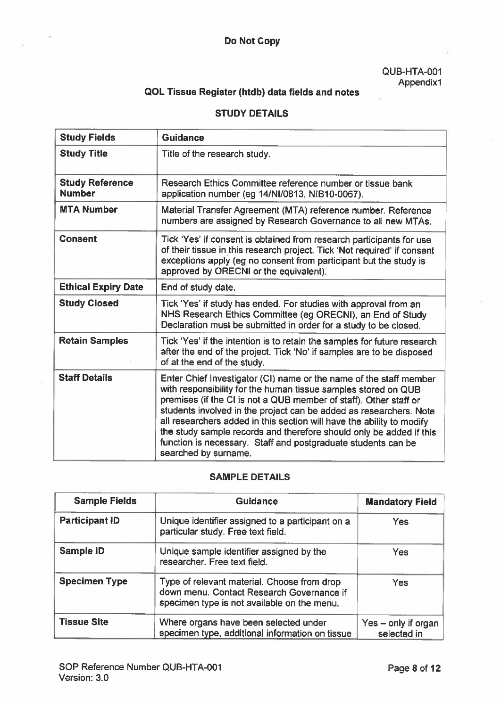## Do Not Copy

QUB-HTA-OO1 Appendixi

# QOL Tissue Register (htdb) data fields and notes

### STUDY DETAILS

| <b>Study Fields</b>                     | <b>Guidance</b>                                                                                                                                                                                                                                                                                                                                                                                                                                                                                                          |
|-----------------------------------------|--------------------------------------------------------------------------------------------------------------------------------------------------------------------------------------------------------------------------------------------------------------------------------------------------------------------------------------------------------------------------------------------------------------------------------------------------------------------------------------------------------------------------|
| <b>Study Title</b>                      | Title of the research study.                                                                                                                                                                                                                                                                                                                                                                                                                                                                                             |
| <b>Study Reference</b><br><b>Number</b> | Research Ethics Committee reference number or tissue bank<br>application number (eg 14/NI/0813, NIB10-0067).                                                                                                                                                                                                                                                                                                                                                                                                             |
| <b>MTA Number</b>                       | Material Transfer Agreement (MTA) reference number. Reference<br>numbers are assigned by Research Governance to all new MTAs.                                                                                                                                                                                                                                                                                                                                                                                            |
| <b>Consent</b>                          | Tick 'Yes' if consent is obtained from research participants for use<br>of their tissue in this research project. Tick 'Not required' if consent<br>exceptions apply (eg no consent from participant but the study is<br>approved by ORECNI or the equivalent).                                                                                                                                                                                                                                                          |
| <b>Ethical Expiry Date</b>              | End of study date.                                                                                                                                                                                                                                                                                                                                                                                                                                                                                                       |
| <b>Study Closed</b>                     | Tick 'Yes' if study has ended. For studies with approval from an<br>NHS Research Ethics Committee (eg ORECNI), an End of Study<br>Declaration must be submitted in order for a study to be closed.                                                                                                                                                                                                                                                                                                                       |
| <b>Retain Samples</b>                   | Tick 'Yes' if the intention is to retain the samples for future research<br>after the end of the project. Tick 'No' if samples are to be disposed<br>of at the end of the study.                                                                                                                                                                                                                                                                                                                                         |
| <b>Staff Details</b>                    | Enter Chief Investigator (CI) name or the name of the staff member<br>with responsibility for the human tissue samples stored on QUB<br>premises (if the CI is not a QUB member of staff). Other staff or<br>students involved in the project can be added as researchers. Note<br>all researchers added in this section will have the ability to modify<br>the study sample records and therefore should only be added if this<br>function is necessary. Staff and postgraduate students can be<br>searched by surname. |

#### SAMPLE DETAILS

| <b>Sample Fields</b>  | <b>Guidance</b>                                                                                                                         | <b>Mandatory Field</b>             |
|-----------------------|-----------------------------------------------------------------------------------------------------------------------------------------|------------------------------------|
| <b>Participant ID</b> | Unique identifier assigned to a participant on a<br>particular study. Free text field.                                                  | <b>Yes</b>                         |
| Sample ID             | Unique sample identifier assigned by the<br>researcher. Free text field.                                                                | <b>Yes</b>                         |
| <b>Specimen Type</b>  | Type of relevant material. Choose from drop<br>down menu. Contact Research Governance if<br>specimen type is not available on the menu. | <b>Yes</b>                         |
| <b>Tissue Site</b>    | Where organs have been selected under<br>specimen type, additional information on tissue                                                | Yes - only if organ<br>selected in |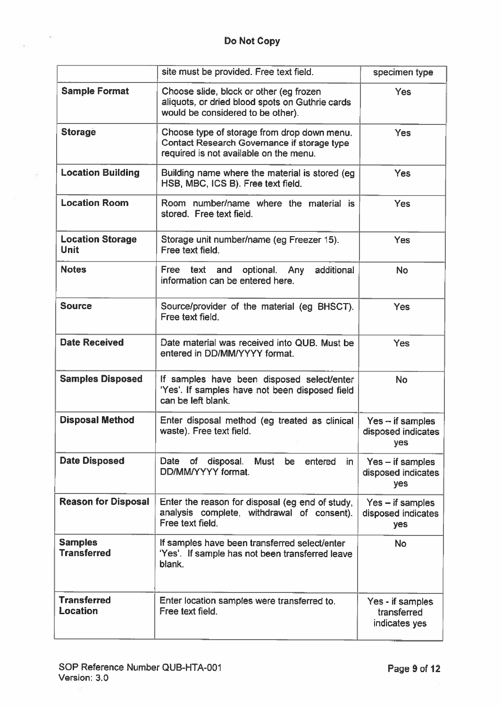$\sim$ 

Y.

|                                        | site must be provided. Free text field.                                                                                              | specimen type                                    |
|----------------------------------------|--------------------------------------------------------------------------------------------------------------------------------------|--------------------------------------------------|
| <b>Sample Format</b>                   | Choose slide, block or other (eg frozen<br>aliquots, or dried blood spots on Guthrie cards<br>would be considered to be other).      | Yes                                              |
| <b>Storage</b>                         | Choose type of storage from drop down menu.<br>Contact Research Governance if storage type<br>required is not available on the menu. | Yes                                              |
| <b>Location Building</b>               | Building name where the material is stored (eg<br>HSB, MBC, ICS B). Free text field.                                                 | <b>Yes</b>                                       |
| <b>Location Room</b>                   | Room number/name where the material is<br>stored. Free text field.                                                                   | Yes                                              |
| <b>Location Storage</b><br><b>Unit</b> | Storage unit number/name (eg Freezer 15).<br>Free text field.                                                                        | Yes                                              |
| <b>Notes</b>                           | additional<br>Free<br>and<br>optional. Any<br>text<br>information can be entered here.                                               | No                                               |
| <b>Source</b>                          | Source/provider of the material (eg BHSCT).<br>Free text field.                                                                      | Yes                                              |
| <b>Date Received</b>                   | Date material was received into QUB. Must be<br>entered in DD/MM/YYYY format.                                                        | <b>Yes</b>                                       |
| <b>Samples Disposed</b>                | If samples have been disposed select/enter<br>'Yes'. If samples have not been disposed field<br>can be left blank.                   | <b>No</b>                                        |
| <b>Disposal Method</b>                 | Enter disposal method (eg treated as clinical<br>waste). Free text field.                                                            | $Yes - if samples$<br>disposed indicates<br>yes  |
| <b>Date Disposed</b>                   | Date of<br>disposal.<br>Must<br>be entered<br>in.<br>DD/MM/YYYY format.                                                              | $Yes - if samples$<br>disposed indicates<br>yes  |
| <b>Reason for Disposal</b>             | Enter the reason for disposal (eg end of study,<br>analysis complete, withdrawal of consent).<br>Free text field.                    | $Yes - if samples$<br>disposed indicates<br>yes  |
| <b>Samples</b><br><b>Transferred</b>   | If samples have been transferred select/enter<br>'Yes'. If sample has not been transferred leave<br>blank.                           | <b>No</b>                                        |
| <b>Transferred</b><br><b>Location</b>  | Enter location samples were transferred to.<br>Free text field.                                                                      | Yes - if samples<br>transferred<br>indicates yes |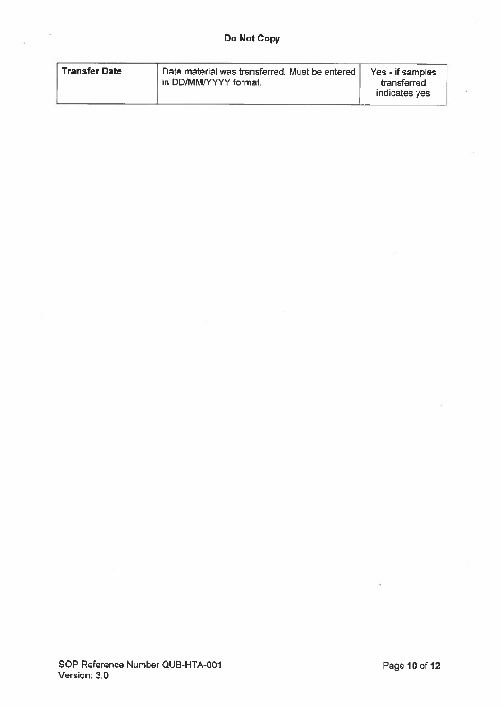| <b>Transfer Date</b> | Date material was transferred. Must be entered<br>in DD/MM/YYYY format. | Yes - if samples<br>transferred<br>indicates yes |
|----------------------|-------------------------------------------------------------------------|--------------------------------------------------|
|                      |                                                                         |                                                  |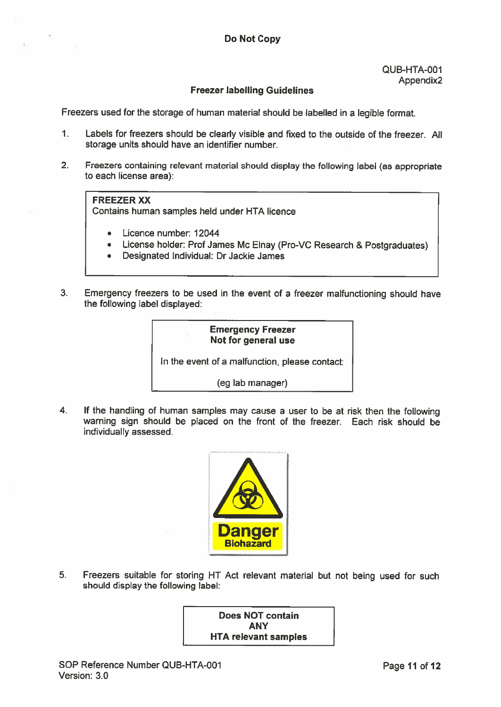#### Freezer labelling Guidelines

Freezers used for the storage of human material should be labelled in <sup>a</sup> legible format.

- 1. Labels for freezers should be clearly visible and fixed to the outside of the freezer. All storage units should have an identifier number.
- 2. Freezers containing relevant material should display the following label (as appropriate to each license area):

#### FREEZER XX

Contains human samples held under HTA licence

- Licence number: 12044
- License holder: Prof James Mc Elnay (Pro-VC Research & Postgraduates)
- Designated Individual: Dr Jackie James
- 3. Emergency freezers to be used in the event of <sup>a</sup> freezer malfu nctioning should have the following label displayed:

#### Emergency Freezer Not for general use

In the event of <sup>a</sup> malfunction, please contact:

(eg lab manager)

4. If the handling of human samples may cause <sup>a</sup> user to be at risk then the following warning sign should be placed on the front of the freezer. Each risk should be individually assessed.



5. Freezers suitable for storing HT Act relevant material but not being used for such should display the following label:

> Does NOT contain ANY HTA relevant samples